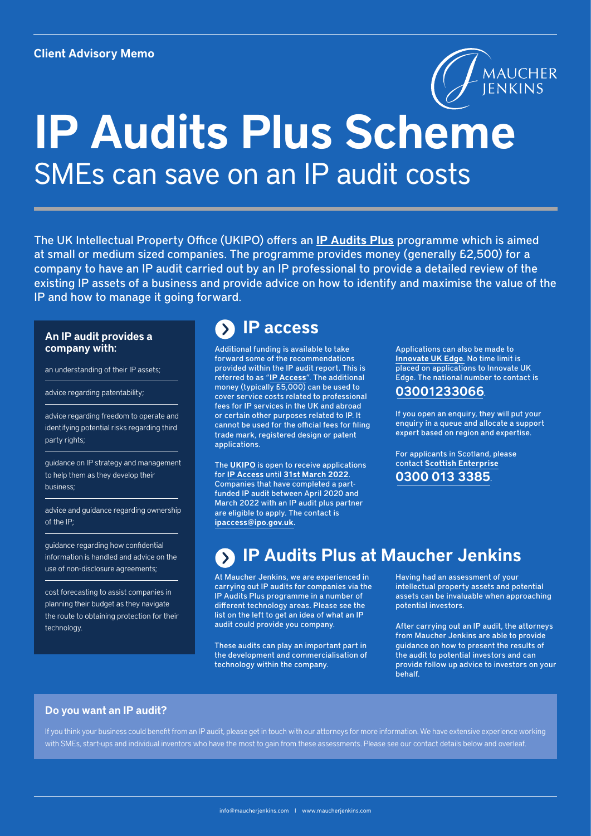

# IP Audits Plus Scheme SMEs can save on an IP audit costs

The UK Intellectual Property Office (UKIPO) offers an IP Audits Plus programme which is aimed at small or medium sized companies. The programme provides money (generally £2,500) for a company to have an IP audit carried out by an IP professional to provide a detailed review of the existing IP assets of a business and provide advice on how to identify and maximise the value of the IP and how to manage it going forward.

## An IP audit provides a company with:

an understanding of their IP assets;

advice regarding patentability;

advice regarding freedom to operate and identifying potential risks regarding third party rights;

guidance on IP strategy and management to help them as they develop their business;

advice and guidance regarding ownership of the IP;

guidance regarding how confidential information is handled and advice on the use of non-disclosure agreements;

cost forecasting to assist companies in planning their budget as they navigate the route to obtaining protection for their technology.

# IP access

Additional funding is available to take forward some of the recommendations provided within the IP audit report. This is referred to as "IP Access". The additional money (typically £5,000) can be used to cover service costs related to professional fees for IP services in the UK and abroad or certain other purposes related to IP. It cannot be used for the official fees for filing trade mark, registered design or patent applications.

The UKIPO is open to receive applications for IP Access until 31st March 2022. Companies that have completed a partfunded IP audit between April 2020 and March 2022 with an IP audit plus partner are eligible to apply. The contact is ipaccess@ipo.gov.uk.

Applications can also be made to Innovate UK Edge. No time limit is placed on applications to Innovate UK Edge. The national number to contact is

# 03001233066.

If you open an enquiry, they will put your enquiry in a queue and allocate a support expert based on region and expertise.

For applicants in Scotland, please contact Scottish Enterprise 0300 013 3385.

# IP Audits Plus at Maucher Jenkins

At Maucher Jenkins, we are experienced in carrying out IP audits for companies via the IP Audits Plus programme in a number of different technology areas. Please see the list on the left to get an idea of what an IP audit could provide you company.

These audits can play an important part in the development and commercialisation of technology within the company.

Having had an assessment of your intellectual property assets and potential assets can be invaluable when approaching potential investors.

After carrying out an IP audit, the attorneys from Maucher Jenkins are able to provide guidance on how to present the results of the audit to potential investors and can provide follow up advice to investors on your behalf.

## Do you want an IP audit?

If you think your business could benefit from an IP audit, please get in touch with our attorneys for more information. We have extensive experience working with SMEs, start-ups and individual inventors who have the most to gain from these assessments. Please see our contact details below and overleaf.